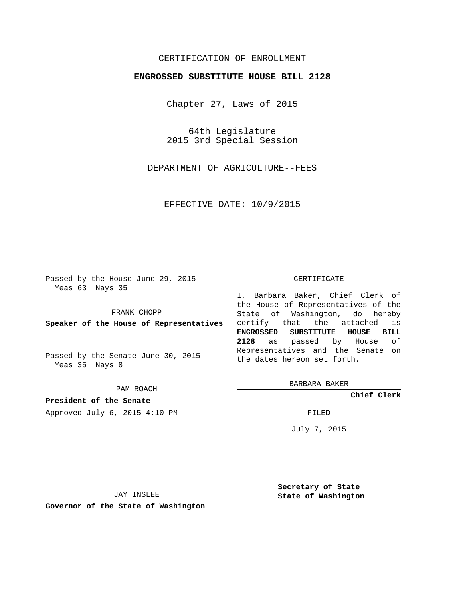## CERTIFICATION OF ENROLLMENT

## **ENGROSSED SUBSTITUTE HOUSE BILL 2128**

Chapter 27, Laws of 2015

64th Legislature 2015 3rd Special Session

DEPARTMENT OF AGRICULTURE--FEES

EFFECTIVE DATE: 10/9/2015

Passed by the House June 29, 2015 Yeas 63 Nays 35

FRANK CHOPP

**Speaker of the House of Representatives**

Passed by the Senate June 30, 2015 Yeas 35 Nays 8

PAM ROACH

**President of the Senate** Approved July 6, 2015 4:10 PM FILED

## CERTIFICATE

I, Barbara Baker, Chief Clerk of the House of Representatives of the State of Washington, do hereby certify that the attached is **ENGROSSED SUBSTITUTE HOUSE BILL 2128** as passed by House of Representatives and the Senate on the dates hereon set forth.

BARBARA BAKER

**Chief Clerk**

July 7, 2015

JAY INSLEE

**Governor of the State of Washington**

**Secretary of State State of Washington**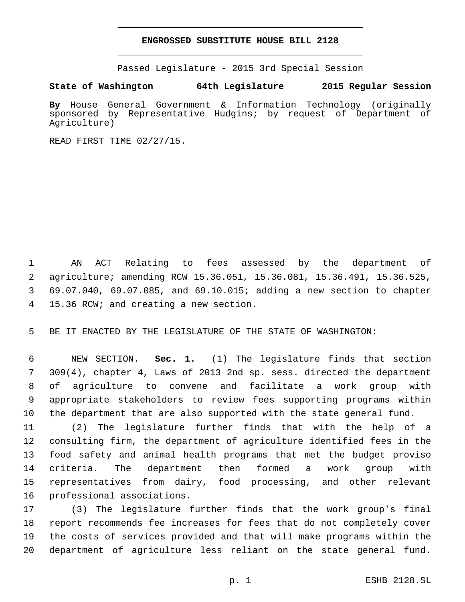## **ENGROSSED SUBSTITUTE HOUSE BILL 2128**

Passed Legislature - 2015 3rd Special Session

**State of Washington 64th Legislature 2015 Regular Session**

**By** House General Government & Information Technology (originally sponsored by Representative Hudgins; by request of Department of Agriculture)

READ FIRST TIME 02/27/15.

 AN ACT Relating to fees assessed by the department of agriculture; amending RCW 15.36.051, 15.36.081, 15.36.491, 15.36.525, 69.07.040, 69.07.085, and 69.10.015; adding a new section to chapter 15.36 RCW; and creating a new section.4

BE IT ENACTED BY THE LEGISLATURE OF THE STATE OF WASHINGTON:

 NEW SECTION. **Sec. 1.** (1) The legislature finds that section 309(4), chapter 4, Laws of 2013 2nd sp. sess. directed the department of agriculture to convene and facilitate a work group with appropriate stakeholders to review fees supporting programs within the department that are also supported with the state general fund.

 (2) The legislature further finds that with the help of a consulting firm, the department of agriculture identified fees in the food safety and animal health programs that met the budget proviso criteria. The department then formed a work group with representatives from dairy, food processing, and other relevant 16 professional associations.

 (3) The legislature further finds that the work group's final report recommends fee increases for fees that do not completely cover the costs of services provided and that will make programs within the department of agriculture less reliant on the state general fund.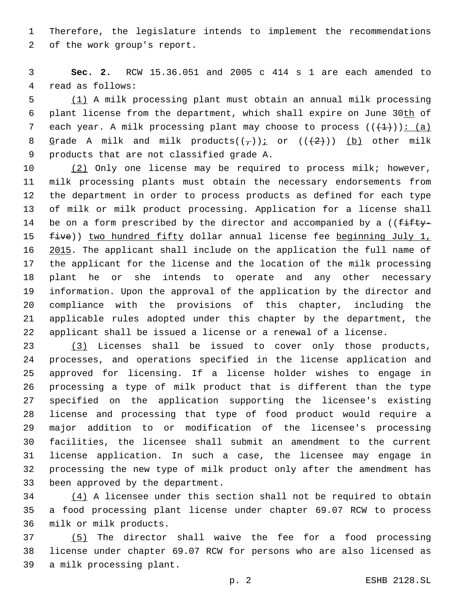Therefore, the legislature intends to implement the recommendations 2 of the work group's report.

 **Sec. 2.** RCW 15.36.051 and 2005 c 414 s 1 are each amended to 4 read as follows:

 (1) A milk processing plant must obtain an annual milk processing plant license from the department, which shall expire on June 30th of 7 each year. A milk processing plant may choose to process  $((+1))$ : (a) 8 Grade A milk and milk products( $(\frac{\pi}{l})$ ) or ( $(\frac{2}{l})$ ) (b) other milk 9 products that are not classified grade A.

 (2) Only one license may be required to process milk; however, milk processing plants must obtain the necessary endorsements from the department in order to process products as defined for each type of milk or milk product processing. Application for a license shall 14 be on a form prescribed by the director and accompanied by a (( $f$ ifty-15 five)) two hundred fifty dollar annual license fee beginning July 1, 16 2015. The applicant shall include on the application the full name of the applicant for the license and the location of the milk processing plant he or she intends to operate and any other necessary information. Upon the approval of the application by the director and compliance with the provisions of this chapter, including the applicable rules adopted under this chapter by the department, the applicant shall be issued a license or a renewal of a license.

 (3) Licenses shall be issued to cover only those products, processes, and operations specified in the license application and approved for licensing. If a license holder wishes to engage in processing a type of milk product that is different than the type specified on the application supporting the licensee's existing license and processing that type of food product would require a major addition to or modification of the licensee's processing facilities, the licensee shall submit an amendment to the current license application. In such a case, the licensee may engage in processing the new type of milk product only after the amendment has 33 been approved by the department.

 (4) A licensee under this section shall not be required to obtain a food processing plant license under chapter 69.07 RCW to process 36 milk or milk products.

 (5) The director shall waive the fee for a food processing license under chapter 69.07 RCW for persons who are also licensed as 39 a milk processing plant.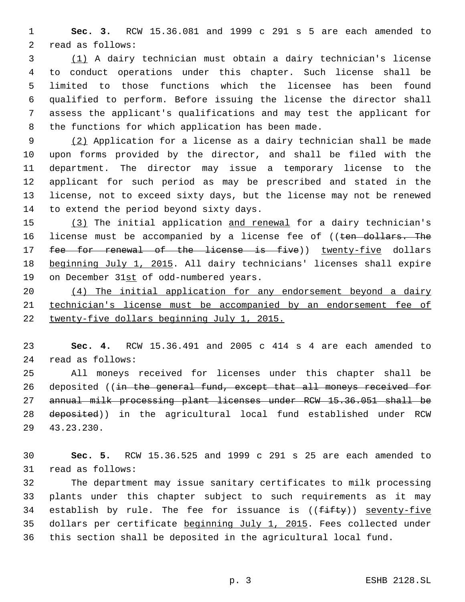**Sec. 3.** RCW 15.36.081 and 1999 c 291 s 5 are each amended to 2 read as follows:

 (1) A dairy technician must obtain a dairy technician's license to conduct operations under this chapter. Such license shall be limited to those functions which the licensee has been found qualified to perform. Before issuing the license the director shall assess the applicant's qualifications and may test the applicant for 8 the functions for which application has been made.

 (2) Application for a license as a dairy technician shall be made upon forms provided by the director, and shall be filed with the department. The director may issue a temporary license to the applicant for such period as may be prescribed and stated in the license, not to exceed sixty days, but the license may not be renewed 14 to extend the period beyond sixty days.

 (3) The initial application and renewal for a dairy technician's 16 license must be accompanied by a license fee of ((ten dollars. The 17 fee for renewal of the license is five)) twenty-five dollars beginning July 1, 2015. All dairy technicians' licenses shall expire 19 on December 31st of odd-numbered years.

 (4) The initial application for any endorsement beyond a dairy technician's license must be accompanied by an endorsement fee of 22 twenty-five dollars beginning July 1, 2015.

 **Sec. 4.** RCW 15.36.491 and 2005 c 414 s 4 are each amended to read as follows:24

 All moneys received for licenses under this chapter shall be 26 deposited ((in the general fund, except that all moneys received for annual milk processing plant licenses under RCW 15.36.051 shall be 28 deposited)) in the agricultural local fund established under RCW 43.23.230.29

 **Sec. 5.** RCW 15.36.525 and 1999 c 291 s 25 are each amended to 31 read as follows:

 The department may issue sanitary certificates to milk processing plants under this chapter subject to such requirements as it may 34 establish by rule. The fee for issuance is  $((fiff+y))$  seventy-five dollars per certificate beginning July 1, 2015. Fees collected under this section shall be deposited in the agricultural local fund.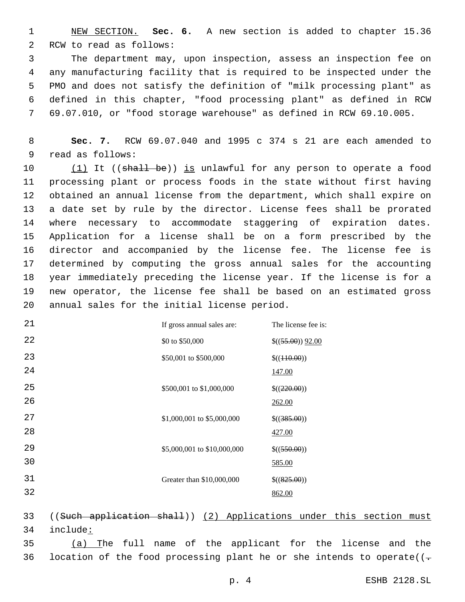NEW SECTION. **Sec. 6.** A new section is added to chapter 15.36 2 RCW to read as follows:

 The department may, upon inspection, assess an inspection fee on any manufacturing facility that is required to be inspected under the PMO and does not satisfy the definition of "milk processing plant" as defined in this chapter, "food processing plant" as defined in RCW 69.07.010, or "food storage warehouse" as defined in RCW 69.10.005.

 **Sec. 7.** RCW 69.07.040 and 1995 c 374 s 21 are each amended to 9 read as follows:

10 (1) It ((shall be)) is unlawful for any person to operate a food processing plant or process foods in the state without first having obtained an annual license from the department, which shall expire on a date set by rule by the director. License fees shall be prorated where necessary to accommodate staggering of expiration dates. Application for a license shall be on a form prescribed by the director and accompanied by the license fee. The license fee is determined by computing the gross annual sales for the accounting year immediately preceding the license year. If the license is for a new operator, the license fee shall be based on an estimated gross 20 annual sales for the initial license period.

| 21       | If gross annual sales are:  | The license fee is:      |
|----------|-----------------------------|--------------------------|
| 22       | \$0 to \$50,000             | $$((55.00))$ $92.00$     |
| 23<br>24 | \$50,001 to \$500,000       | \$( (410.00) )<br>147.00 |
| 25<br>26 | \$500,001 to \$1,000,000    | \$((220.00))<br>262.00   |
| 27<br>28 | \$1,000,001 to \$5,000,000  | \$(385.00))<br>427.00    |
| 29<br>30 | \$5,000,001 to \$10,000,000 | \$((550.00))<br>585.00   |
| 31<br>32 | Greater than \$10,000,000   | \$(825.00))<br>862.00    |
|          |                             |                          |

 ((Such application shall)) (2) Applications under this section must 34 include:

 (a) The full name of the applicant for the license and the 36 location of the food processing plant he or she intends to operate( $(-$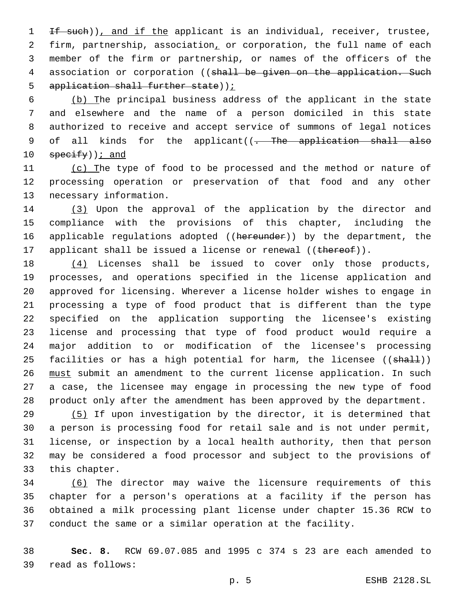1 If such)), and if the applicant is an individual, receiver, trustee, 2 firm, partnership, association, or corporation, the full name of each 3 member of the firm or partnership, or names of the officers of the 4 association or corporation ((shall be given on the application. Such 5 application shall further state));

 (b) The principal business address of the applicant in the state and elsewhere and the name of a person domiciled in this state authorized to receive and accept service of summons of legal notices 9 of all kinds for the applicant((- The application shall also  $\frac{10}{2}$  specify) ; and

11 (c) The type of food to be processed and the method or nature of 12 processing operation or preservation of that food and any other 13 necessary information.

14 (3) Upon the approval of the application by the director and 15 compliance with the provisions of this chapter, including the 16 applicable regulations adopted ((hereunder)) by the department, the 17 applicant shall be issued a license or renewal ((thereof)).

18 (4) Licenses shall be issued to cover only those products, processes, and operations specified in the license application and approved for licensing. Wherever a license holder wishes to engage in processing a type of food product that is different than the type specified on the application supporting the licensee's existing license and processing that type of food product would require a major addition to or modification of the licensee's processing 25 facilities or has a high potential for harm, the licensee ((shall)) 26 must submit an amendment to the current license application. In such a case, the licensee may engage in processing the new type of food product only after the amendment has been approved by the department.

29 (5) If upon investigation by the director, it is determined that 30 a person is processing food for retail sale and is not under permit, 31 license, or inspection by a local health authority, then that person 32 may be considered a food processor and subject to the provisions of 33 this chapter.

 (6) The director may waive the licensure requirements of this chapter for a person's operations at a facility if the person has obtained a milk processing plant license under chapter 15.36 RCW to conduct the same or a similar operation at the facility.

38 **Sec. 8.** RCW 69.07.085 and 1995 c 374 s 23 are each amended to read as follows:39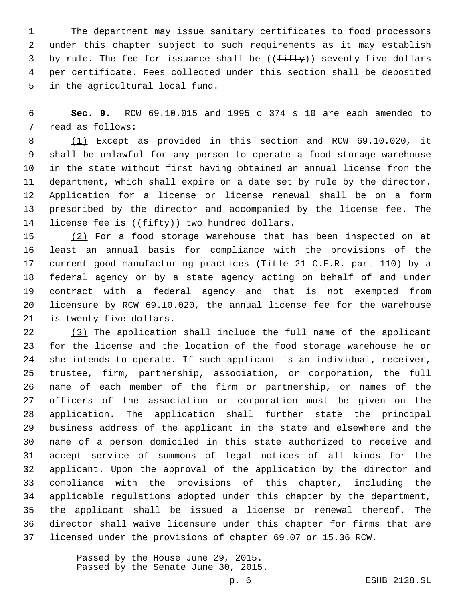The department may issue sanitary certificates to food processors under this chapter subject to such requirements as it may establish 3 by rule. The fee for issuance shall be ((fifty)) seventy-five dollars per certificate. Fees collected under this section shall be deposited 5 in the agricultural local fund.

 **Sec. 9.** RCW 69.10.015 and 1995 c 374 s 10 are each amended to 7 read as follows:

 (1) Except as provided in this section and RCW 69.10.020, it shall be unlawful for any person to operate a food storage warehouse in the state without first having obtained an annual license from the department, which shall expire on a date set by rule by the director. Application for a license or license renewal shall be on a form prescribed by the director and accompanied by the license fee. The 14 license fee is  $((f\text{-}ff\text{-}t\cdot y))$  two hundred dollars.

15 (2) For a food storage warehouse that has been inspected on at least an annual basis for compliance with the provisions of the current good manufacturing practices (Title 21 C.F.R. part 110) by a federal agency or by a state agency acting on behalf of and under contract with a federal agency and that is not exempted from licensure by RCW 69.10.020, the annual license fee for the warehouse 21 is twenty-five dollars.

 (3) The application shall include the full name of the applicant for the license and the location of the food storage warehouse he or she intends to operate. If such applicant is an individual, receiver, trustee, firm, partnership, association, or corporation, the full name of each member of the firm or partnership, or names of the officers of the association or corporation must be given on the application. The application shall further state the principal business address of the applicant in the state and elsewhere and the name of a person domiciled in this state authorized to receive and accept service of summons of legal notices of all kinds for the applicant. Upon the approval of the application by the director and compliance with the provisions of this chapter, including the applicable regulations adopted under this chapter by the department, the applicant shall be issued a license or renewal thereof. The director shall waive licensure under this chapter for firms that are licensed under the provisions of chapter 69.07 or 15.36 RCW.

> Passed by the House June 29, 2015. Passed by the Senate June 30, 2015.